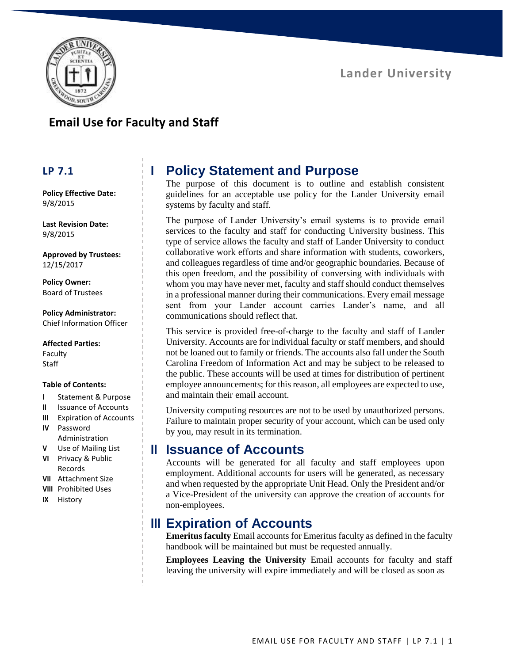

## **Email Use for Faculty and Staff**

#### **LP 7.1**

**Policy Effective Date:** 9/8/2015

**Last Revision Date:** 9/8/2015

**Approved by Trustees:** 12/15/2017

**Policy Owner:** Board of Trustees

**Policy Administrator:** Chief Information Officer

**Affected Parties:** Faculty **Staff** 

#### **Table of Contents:**

- **I** Statement & Purpose
- **II** Issuance of Accounts
- **III** Expiration of Accounts
- **IV** Password Administration
- **V** Use of Mailing List **VI** Privacy & Public
- Records
- **VII** Attachment Size
- **VIII** Prohibited Uses
- **IX** History

# **I Policy Statement and Purpose**

The purpose of this document is to outline and establish consistent guidelines for an acceptable use policy for the Lander University email systems by faculty and staff.

The purpose of Lander University's email systems is to provide email services to the faculty and staff for conducting University business. This type of service allows the faculty and staff of Lander University to conduct collaborative work efforts and share information with students, coworkers, and colleagues regardless of time and/or geographic boundaries. Because of this open freedom, and the possibility of conversing with individuals with whom you may have never met, faculty and staff should conduct themselves in a professional manner during their communications. Every email message sent from your Lander account carries Lander's name, and all communications should reflect that.

This service is provided free-of-charge to the faculty and staff of Lander University. Accounts are for individual faculty or staff members, and should not be loaned out to family or friends. The accounts also fall under the South Carolina Freedom of Information Act and may be subject to be released to the public. These accounts will be used at times for distribution of pertinent employee announcements; for this reason, all employees are expected to use, and maintain their email account.

University computing resources are not to be used by unauthorized persons. Failure to maintain proper security of your account, which can be used only by you, may result in its termination.

#### **II Issuance of Accounts**

Accounts will be generated for all faculty and staff employees upon employment. Additional accounts for users will be generated, as necessary and when requested by the appropriate Unit Head. Only the President and/or a Vice-President of the university can approve the creation of accounts for non-employees.

#### **III Expiration of Accounts**

**Emeritus faculty** Email accounts for Emeritus faculty as defined in the faculty handbook will be maintained but must be requested annually.

**Employees Leaving the University** Email accounts for faculty and staff leaving the university will expire immediately and will be closed as soon as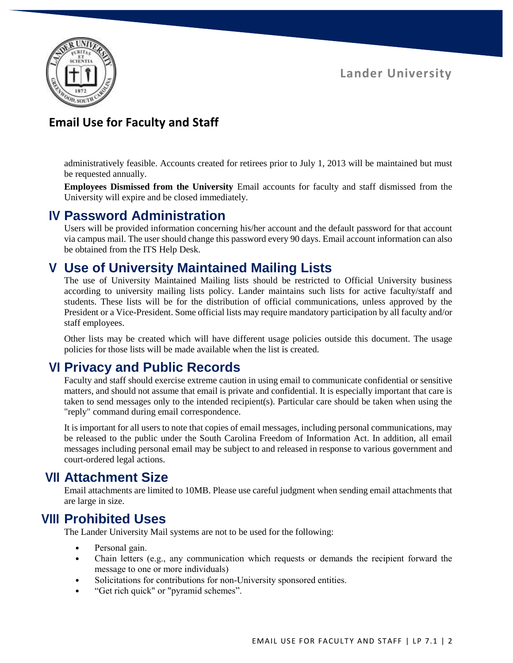**Lander University**



# **Email Use for Faculty and Staff**

administratively feasible. Accounts created for retirees prior to July 1, 2013 will be maintained but must be requested annually.

**Employees Dismissed from the University** Email accounts for faculty and staff dismissed from the University will expire and be closed immediately.

#### **IV Password Administration**

Users will be provided information concerning his/her account and the default password for that account via campus mail. The user should change this password every 90 days. Email account information can also be obtained from the ITS Help Desk.

#### **V Use of University Maintained Mailing Lists**

The use of University Maintained Mailing lists should be restricted to Official University business according to university mailing lists policy. Lander maintains such lists for active faculty/staff and students. These lists will be for the distribution of official communications, unless approved by the President or a Vice-President. Some official lists may require mandatory participation by all faculty and/or staff employees.

Other lists may be created which will have different usage policies outside this document. The usage policies for those lists will be made available when the list is created.

## **VI Privacy and Public Records**

Faculty and staff should exercise extreme caution in using email to communicate confidential or sensitive matters, and should not assume that email is private and confidential. It is especially important that care is taken to send messages only to the intended recipient(s). Particular care should be taken when using the "reply" command during email correspondence.

It is important for all users to note that copies of email messages, including personal communications, may be released to the public under the South Carolina Freedom of Information Act. In addition, all email messages including personal email may be subject to and released in response to various government and court-ordered legal actions.

## **VII Attachment Size**

Email attachments are limited to 10MB. Please use careful judgment when sending email attachments that are large in size.

## **VIII Prohibited Uses**

The Lander University Mail systems are not to be used for the following:

- Personal gain.
- Chain letters (e.g., any communication which requests or demands the recipient forward the message to one or more individuals)
- Solicitations for contributions for non-University sponsored entities.
- "Get rich quick" or "pyramid schemes".